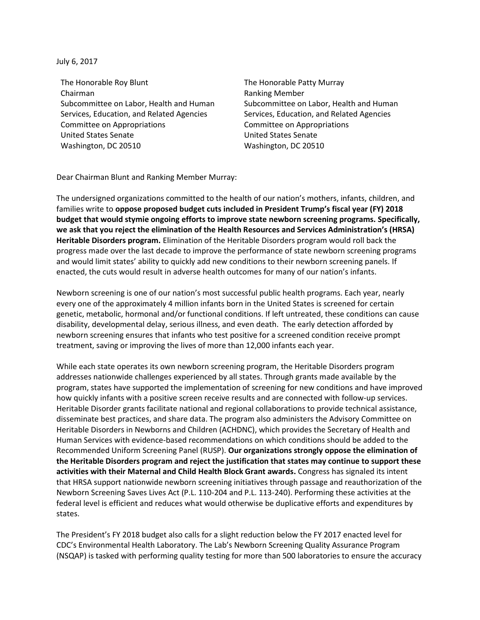July 6, 2017

The Honorable Roy Blunt Chairman Subcommittee on Labor, Health and Human Services, Education, and Related Agencies Committee on Appropriations United States Senate Washington, DC 20510

The Honorable Patty Murray Ranking Member Subcommittee on Labor, Health and Human Services, Education, and Related Agencies Committee on Appropriations United States Senate Washington, DC 20510

Dear Chairman Blunt and Ranking Member Murray:

The undersigned organizations committed to the health of our nation's mothers, infants, children, and families write to **oppose proposed budget cuts included in President Trump's fiscal year (FY) 2018 budget that would stymie ongoing efforts to improve state newborn screening programs. Specifically, we ask that you reject the elimination of the Health Resources and Services Administration's (HRSA) Heritable Disorders program.** Elimination of the Heritable Disorders program would roll back the progress made over the last decade to improve the performance of state newborn screening programs and would limit states' ability to quickly add new conditions to their newborn screening panels. If enacted, the cuts would result in adverse health outcomes for many of our nation's infants.

Newborn screening is one of our nation's most successful public health programs. Each year, nearly every one of the approximately 4 million infants born in the United States is screened for certain genetic, metabolic, hormonal and/or functional conditions. If left untreated, these conditions can cause disability, developmental delay, serious illness, and even death. The early detection afforded by newborn screening ensures that infants who test positive for a screened condition receive prompt treatment, saving or improving the lives of more than 12,000 infants each year.

While each state operates its own newborn screening program, the Heritable Disorders program addresses nationwide challenges experienced by all states. Through grants made available by the program, states have supported the implementation of screening for new conditions and have improved how quickly infants with a positive screen receive results and are connected with follow-up services. Heritable Disorder grants facilitate national and regional collaborations to provide technical assistance, disseminate best practices, and share data. The program also administers the Advisory Committee on Heritable Disorders in Newborns and Children (ACHDNC), which provides the Secretary of Health and Human Services with evidence-based recommendations on which conditions should be added to the Recommended Uniform Screening Panel (RUSP). **Our organizations strongly oppose the elimination of the Heritable Disorders program and reject the justification that states may continue to support these activities with their Maternal and Child Health Block Grant awards.** Congress has signaled its intent that HRSA support nationwide newborn screening initiatives through passage and reauthorization of the Newborn Screening Saves Lives Act (P.L. 110-204 and P.L. 113-240). Performing these activities at the federal level is efficient and reduces what would otherwise be duplicative efforts and expenditures by states.

The President's FY 2018 budget also calls for a slight reduction below the FY 2017 enacted level for CDC's Environmental Health Laboratory. The Lab's Newborn Screening Quality Assurance Program (NSQAP) is tasked with performing quality testing for more than 500 laboratories to ensure the accuracy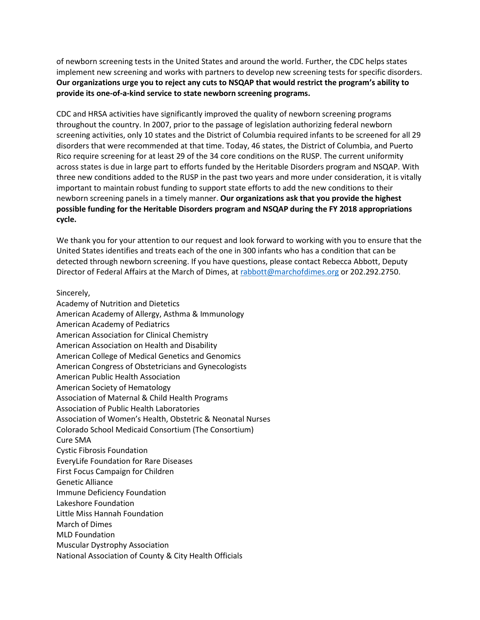of newborn screening tests in the United States and around the world. Further, the CDC helps states implement new screening and works with partners to develop new screening tests for specific disorders. **Our organizations urge you to reject any cuts to NSQAP that would restrict the program's ability to provide its one-of-a-kind service to state newborn screening programs.**

CDC and HRSA activities have significantly improved the quality of newborn screening programs throughout the country. In 2007, prior to the passage of legislation authorizing federal newborn screening activities, only 10 states and the District of Columbia required infants to be screened for all 29 disorders that were recommended at that time. Today, 46 states, the District of Columbia, and Puerto Rico require screening for at least 29 of the 34 core conditions on the RUSP. The current uniformity across states is due in large part to efforts funded by the Heritable Disorders program and NSQAP. With three new conditions added to the RUSP in the past two years and more under consideration, it is vitally important to maintain robust funding to support state efforts to add the new conditions to their newborn screening panels in a timely manner. **Our organizations ask that you provide the highest possible funding for the Heritable Disorders program and NSQAP during the FY 2018 appropriations cycle.**

We thank you for your attention to our request and look forward to working with you to ensure that the United States identifies and treats each of the one in 300 infants who has a condition that can be detected through newborn screening. If you have questions, please contact Rebecca Abbott, Deputy Director of Federal Affairs at the March of Dimes, a[t rabbott@marchofdimes.org](mailto:rabbott@marchofdimes.org) or 202.292.2750.

## Sincerely,

Academy of Nutrition and Dietetics American Academy of Allergy, Asthma & Immunology American Academy of Pediatrics American Association for Clinical Chemistry American Association on Health and Disability American College of Medical Genetics and Genomics American Congress of Obstetricians and Gynecologists American Public Health Association American Society of Hematology Association of Maternal & Child Health Programs Association of Public Health Laboratories Association of Women's Health, Obstetric & Neonatal Nurses Colorado School Medicaid Consortium (The Consortium) Cure SMA Cystic Fibrosis Foundation EveryLife Foundation for Rare Diseases First Focus Campaign for Children Genetic Alliance Immune Deficiency Foundation Lakeshore Foundation Little Miss Hannah Foundation March of Dimes MLD Foundation Muscular Dystrophy Association National Association of County & City Health Officials